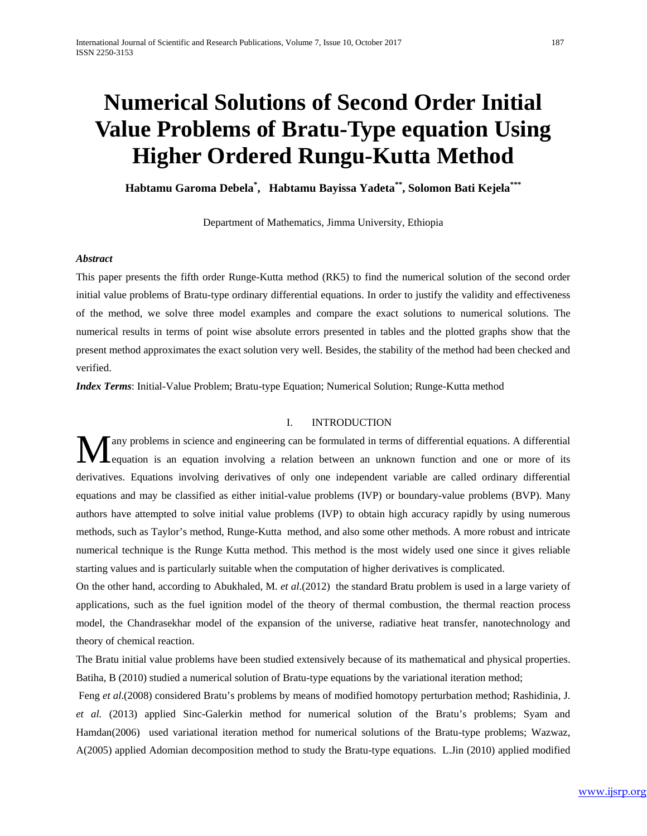# **Numerical Solutions of Second Order Initial Value Problems of Bratu-Type equation Using Higher Ordered Rungu-Kutta Method**

**Habtamu Garoma Debela\* , Habtamu Bayissa Yadeta\*\*, Solomon Bati Kejela\*\*\***

Department of Mathematics, Jimma University, Ethiopia

## *Abstract*

This paper presents the fifth order Runge-Kutta method (RK5) to find the numerical solution of the second order initial value problems of Bratu-type ordinary differential equations. In order to justify the validity and effectiveness of the method, we solve three model examples and compare the exact solutions to numerical solutions. The numerical results in terms of point wise absolute errors presented in tables and the plotted graphs show that the present method approximates the exact solution very well. Besides, the stability of the method had been checked and verified.

*Index Terms*: Initial-Value Problem; Bratu-type Equation; Numerical Solution; Runge-Kutta method

#### I. INTRODUCTION

any problems in science and engineering can be formulated in terms of differential equations. A differential **Lequation** is an equation involving a relation between an unknown function and one or more of its derivatives. Equations involving derivatives of only one independent variable are called ordinary differential equations and may be classified as either initial-value problems (IVP) or boundary-value problems (BVP). Many authors have attempted to solve initial value problems (IVP) to obtain high accuracy rapidly by using numerous methods, such as Taylor's method, Runge-Kutta method, and also some other methods. A more robust and intricate numerical technique is the Runge Kutta method. This method is the most widely used one since it gives reliable starting values and is particularly suitable when the computation of higher derivatives is complicated. M

On the other hand, according to Abukhaled, M. *et al*.(2012) the standard Bratu problem is used in a large variety of applications, such as the fuel ignition model of the theory of thermal combustion, the thermal reaction process model, the Chandrasekhar model of the expansion of the universe, radiative heat transfer, nanotechnology and theory of chemical reaction.

The Bratu initial value problems have been studied extensively because of its mathematical and physical properties. Batiha, B (2010) studied a numerical solution of Bratu-type equations by the variational iteration method;

Feng *et al*.(2008) considered Bratu's problems by means of modified homotopy perturbation method; Rashidinia, J. *et al.* (2013) applied Sinc-Galerkin method for numerical solution of the Bratu's problems; Syam and Hamdan(2006) used variational iteration method for numerical solutions of the Bratu-type problems; Wazwaz, A(2005) applied Adomian decomposition method to study the Bratu-type equations. L.Jin (2010) applied modified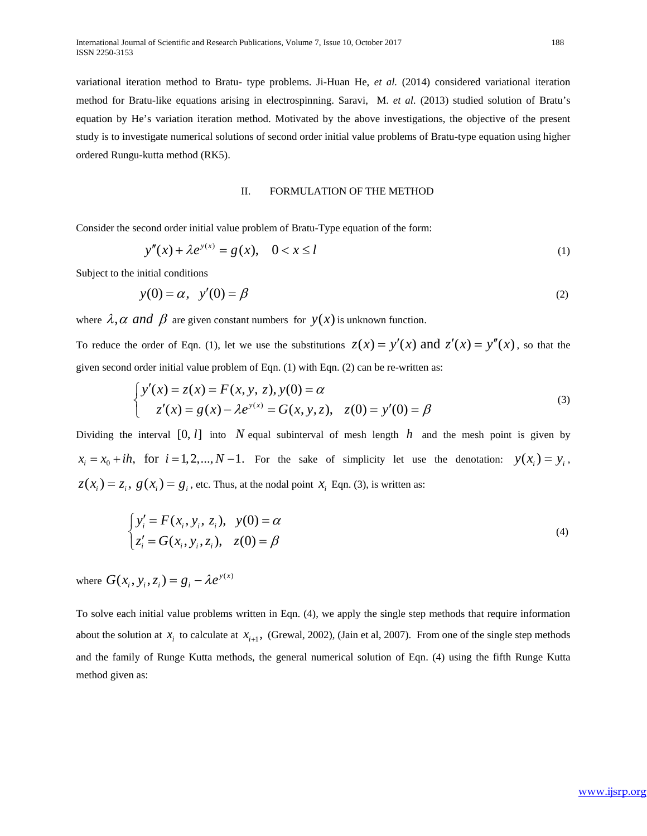variational iteration method to Bratu- type problems. Ji-Huan He, *et al.* (2014) considered variational iteration method for Bratu-like equations arising in electrospinning. Saravi, M. *et al.* (2013) studied solution of Bratu's equation by He's variation iteration method. Motivated by the above investigations, the objective of the present study is to investigate numerical solutions of second order initial value problems of Bratu-type equation using higher ordered Rungu-kutta method (RK5).

## II. FORMULATION OF THE METHOD

Consider the second order initial value problem of Bratu-Type equation of the form:

$$
y''(x) + \lambda e^{y(x)} = g(x), \quad 0 < x \le l \tag{1}
$$

Subject to the initial conditions

$$
y(0) = \alpha, \quad y'(0) = \beta \tag{2}
$$

where  $\lambda$ ,  $\alpha$  and  $\beta$  are given constant numbers for  $y(x)$  is unknown function.

To reduce the order of Eqn. (1), let we use the substitutions  $z(x) = y'(x)$  and  $z'(x) = y''(x)$ , so that the given second order initial value problem of Eqn. (1) with Eqn. (2) can be re-written as:

$$
\begin{cases}\ny'(x) = z(x) = F(x, y, z), y(0) = \alpha \\
z'(x) = g(x) - \lambda e^{y(x)} = G(x, y, z), \quad z(0) = y'(0) = \beta\n\end{cases}
$$
\n(3)

Dividing the interval  $[0, l]$  into N equal subinterval of mesh length h and the mesh point is given by  $x_i = x_0 + ih$ , for  $i = 1, 2, ..., N-1$ . For the sake of simplicity let use the denotation:  $y(x_i) = y_i$ ,  $z(x_i) = z_i$ ,  $g(x_i) = g_i$ , etc. Thus, at the nodal point  $x_i$  Eqn. (3), is written as:

$$
\begin{cases}\ny'_i = F(x_i, y_i, z_i), & y(0) = \alpha \\
z'_i = G(x_i, y_i, z_i), & z(0) = \beta\n\end{cases}
$$
\n(4)

where  $G(x_i, y_i, z_i) = g_i - \lambda e^{y(x)}$ 

To solve each initial value problems written in Eqn. (4), we apply the single step methods that require information about the solution at  $x_i$  to calculate at  $x_{i+1}$ , (Grewal, 2002), (Jain et al, 2007). From one of the single step methods and the family of Runge Kutta methods, the general numerical solution of Eqn. (4) using the fifth Runge Kutta method given as: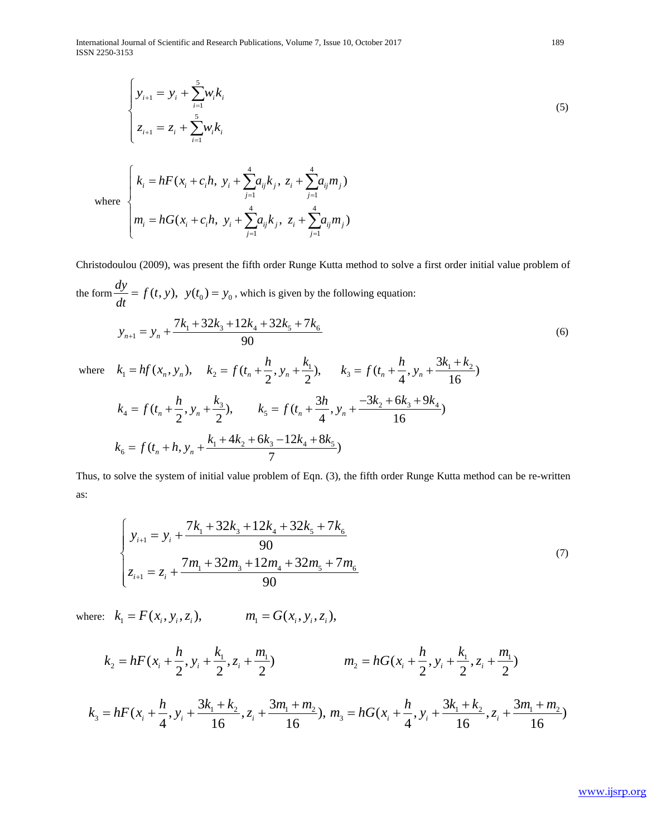International Journal of Scientific and Research Publications, Volume 7, Issue 10, October 2017 189 ISSN 2250-3153

$$
\begin{cases}\n y_{i+1} = y_i + \sum_{i=1}^{5} w_i k_i \\
 z_{i+1} = z_i + \sum_{i=1}^{5} w_i k_i\n\end{cases}
$$
\n(5)

where 
$$
\begin{cases} k_i = hF(x_i + c_i h, y_i + \sum_{j=1}^4 a_{ij} k_j, z_i + \sum_{j=1}^4 a_{ij} m_j) \\ m_i = hG(x_i + c_i h, y_i + \sum_{j=1}^4 a_{ij} k_j, z_i + \sum_{j=1}^4 a_{ij} m_j) \end{cases}
$$

Christodoulou (2009), was present the fifth order Runge Kutta method to solve a first order initial value problem of the form  $\frac{dy}{dt} = f(t, y)$ ,  $y(t_0) = y_0$ , which is given by the following equation:

$$
y_{n+1} = y_n + \frac{7k_1 + 32k_3 + 12k_4 + 32k_5 + 7k_6}{90} \tag{6}
$$

where 
$$
k_1 = hf(x_n, y_n)
$$
,  $k_2 = f(t_n + \frac{h}{2}, y_n + \frac{k_1}{2})$ ,  $k_3 = f(t_n + \frac{h}{4}, y_n + \frac{3k_1 + k_2}{16})$   
\n $k_4 = f(t_n + \frac{h}{2}, y_n + \frac{k_3}{2})$ ,  $k_5 = f(t_n + \frac{3h}{4}, y_n + \frac{-3k_2 + 6k_3 + 9k_4}{16})$   
\n $k_6 = f(t_n + h, y_n + \frac{k_1 + 4k_2 + 6k_3 - 12k_4 + 8k_5}{7})$ 

Thus, to solve the system of initial value problem of Eqn. (3), the fifth order Runge Kutta method can be re-written as:

$$
\begin{cases}\n y_{i+1} = y_i + \frac{7k_1 + 32k_3 + 12k_4 + 32k_5 + 7k_6}{90} \\
 z_{i+1} = z_i + \frac{7m_1 + 32m_3 + 12m_4 + 32m_5 + 7m_6}{90}\n \end{cases}
$$
\n(7)

where:  $k_1 = F(x_i, y_i, z_i)$ ,  $m_1 = G(x_i, y_i, z_i)$ ,

$$
k_2 = hF(x_i + \frac{h}{2}, y_i + \frac{k_1}{2}, z_i + \frac{m_1}{2})
$$
  

$$
m_2 = hG(x_i + \frac{h}{2}, y_i + \frac{k_1}{2}, z_i + \frac{m_1}{2})
$$

$$
k_3 = hF(x_i + \frac{h}{4}, y_i + \frac{3k_1 + k_2}{16}, z_i + \frac{3m_1 + m_2}{16}), m_3 = hG(x_i + \frac{h}{4}, y_i + \frac{3k_1 + k_2}{16}, z_i + \frac{3m_1 + m_2}{16})
$$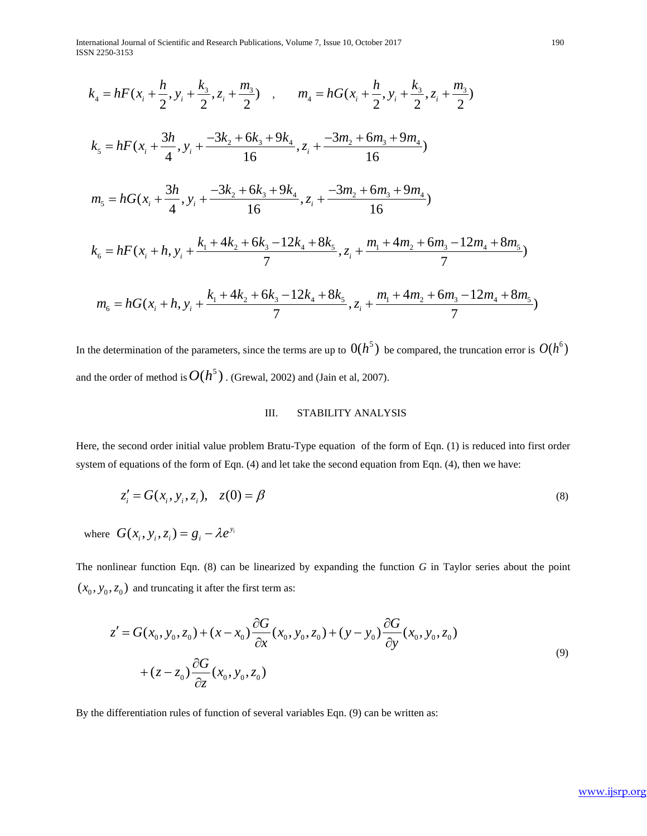International Journal of Scientific and Research Publications, Volume 7, Issue 10, October 2017 190 ISSN 2250-3153

$$
k_4 = hF(x_i + \frac{h}{2}, y_i + \frac{k_3}{2}, z_i + \frac{m_3}{2}) , \t m_4 = hG(x_i + \frac{h}{2}, y_i + \frac{k_3}{2}, z_i + \frac{m_3}{2})
$$
  
\n
$$
k_5 = hF(x_i + \frac{3h}{4}, y_i + \frac{-3k_2 + 6k_3 + 9k_4}{16}, z_i + \frac{-3m_2 + 6m_3 + 9m_4}{16})
$$
  
\n
$$
m_5 = hG(x_i + \frac{3h}{4}, y_i + \frac{-3k_2 + 6k_3 + 9k_4}{16}, z_i + \frac{-3m_2 + 6m_3 + 9m_4}{16})
$$
  
\n
$$
k_6 = hF(x_i + h, y_i + \frac{k_1 + 4k_2 + 6k_3 - 12k_4 + 8k_5}{7}, z_i + \frac{m_1 + 4m_2 + 6m_3 - 12m_4 + 8m_5}{7})
$$
  
\n
$$
m_6 = hG(x_i + h, y_i + \frac{k_1 + 4k_2 + 6k_3 - 12k_4 + 8k_5}{7}, z_i + \frac{m_1 + 4m_2 + 6m_3 - 12m_4 + 8m_5}{7})
$$

In the determination of the parameters, since the terms are up to  $O(h^5)$  be compared, the truncation error is  $O(h^6)$ and the order of method is  $O(h^5)$ . (Grewal, 2002) and (Jain et al, 2007).

# III. STABILITY ANALYSIS

Here, the second order initial value problem Bratu-Type equation of the form of Eqn. (1) is reduced into first order system of equations of the form of Eqn. (4) and let take the second equation from Eqn. (4), then we have:

$$
z'_{i} = G(x_{i}, y_{i}, z_{i}), \quad z(0) = \beta
$$
\n(8)

where  $G(x_i, y_i, z_i) = g_i - \lambda e^{y_i}$ 

The nonlinear function Eqn. (8) can be linearized by expanding the function *G* in Taylor series about the point  $(x_0, y_0, z_0)$  and truncating it after the first term as:

$$
z' = G(x_0, y_0, z_0) + (x - x_0) \frac{\partial G}{\partial x}(x_0, y_0, z_0) + (y - y_0) \frac{\partial G}{\partial y}(x_0, y_0, z_0) + (z - z_0) \frac{\partial G}{\partial z}(x_0, y_0, z_0)
$$
\n(9)

By the differentiation rules of function of several variables Eqn. (9) can be written as: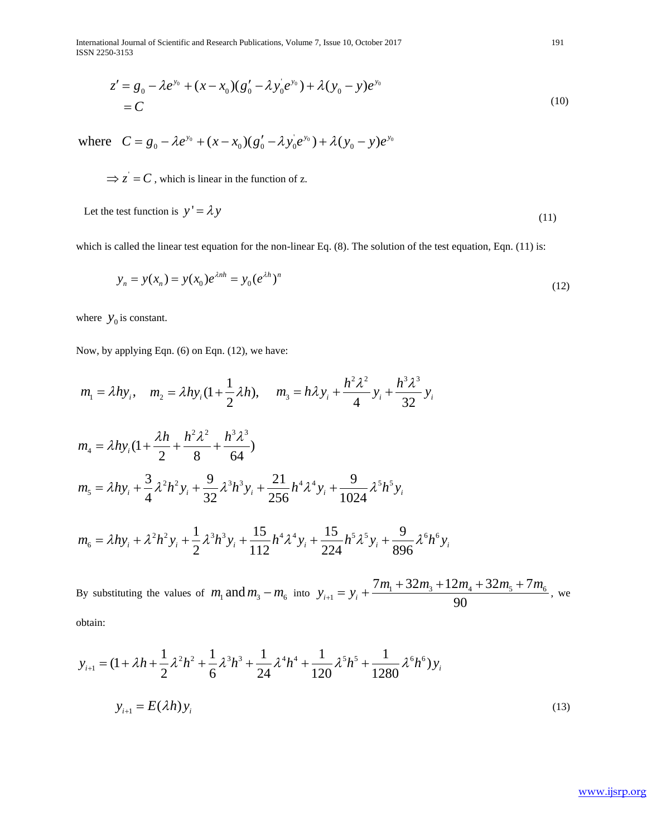International Journal of Scientific and Research Publications, Volume 7, Issue 10, October 2017 191 ISSN 2250-3153

$$
z' = g_0 - \lambda e^{y_0} + (x - x_0)(g'_0 - \lambda y_0'e^{y_0}) + \lambda (y_0 - y)e^{y_0}
$$
  
= C (10)

where  $C = g_0 - \lambda e^{y_0} + (x - x_0)(g'_0 - \lambda y'_0 e^{y_0}) + \lambda (y_0 - y)e^{y_0}$ 

 $\Rightarrow$  z' = C, which is linear in the function of z.

Let the test function is  $y' = \lambda y$  (11)

which is called the linear test equation for the non-linear Eq. (8). The solution of the test equation, Eqn. (11) is:

$$
y_n = y(x_n) = y(x_0)e^{\lambda nh} = y_0(e^{\lambda h})^n
$$
\n(12)

where  $y_0$  is constant.

Now, by applying Eqn. (6) on Eqn. (12), we have:

$$
m_1 = \lambda hy_i, \quad m_2 = \lambda hy_i(1 + \frac{1}{2}\lambda h), \quad m_3 = h\lambda y_i + \frac{h^2\lambda^2}{4}y_i + \frac{h^3\lambda^3}{32}y_i
$$
  
\n
$$
m_4 = \lambda hy_i(1 + \frac{\lambda h}{2} + \frac{h^2\lambda^2}{8} + \frac{h^3\lambda^3}{64})
$$
  
\n
$$
m_5 = \lambda hy_i + \frac{3}{4}\lambda^2 h^2 y_i + \frac{9}{32}\lambda^3 h^3 y_i + \frac{21}{256}h^4\lambda^4 y_i + \frac{9}{1024}\lambda^5 h^5 y_i
$$
  
\n
$$
m_6 = \lambda hy_i + \lambda^2 h^2 y_i + \frac{1}{2}\lambda^3 h^3 y_i + \frac{15}{112}h^4\lambda^4 y_i + \frac{15}{224}h^5\lambda^5 y_i + \frac{9}{896}\lambda^6 h^6 y_i
$$

By substituting the values of  $m_1$  and  $m_3 - m_6$  into  $y_{i+1} = y_i + \frac{m_1 + 32m_3 + 12m_4 + 32m_5 + 7m_6}{00}$  $7m_1 + 32m_3 + 12m_4 + 32m_5 + 7$  $\frac{i+1}{i+1} - \frac{y_i}{i}$  90  $m_1 + 32m_3 + 12m_4 + 32m_5 + 7m$  $y_{i+1} = y$ *m* +  $+32m_1+12m_4+32m_5+$  $= y_i + \frac{m_1 + 32m_3 + 12m_4 + 32m_5 + m_6}{28}$ , we obtain:

$$
y_{i+1} = (1 + \lambda h + \frac{1}{2}\lambda^2 h^2 + \frac{1}{6}\lambda^3 h^3 + \frac{1}{24}\lambda^4 h^4 + \frac{1}{120}\lambda^5 h^5 + \frac{1}{1280}\lambda^6 h^6) y_i
$$
  

$$
y_{i+1} = E(\lambda h) y_i
$$
 (13)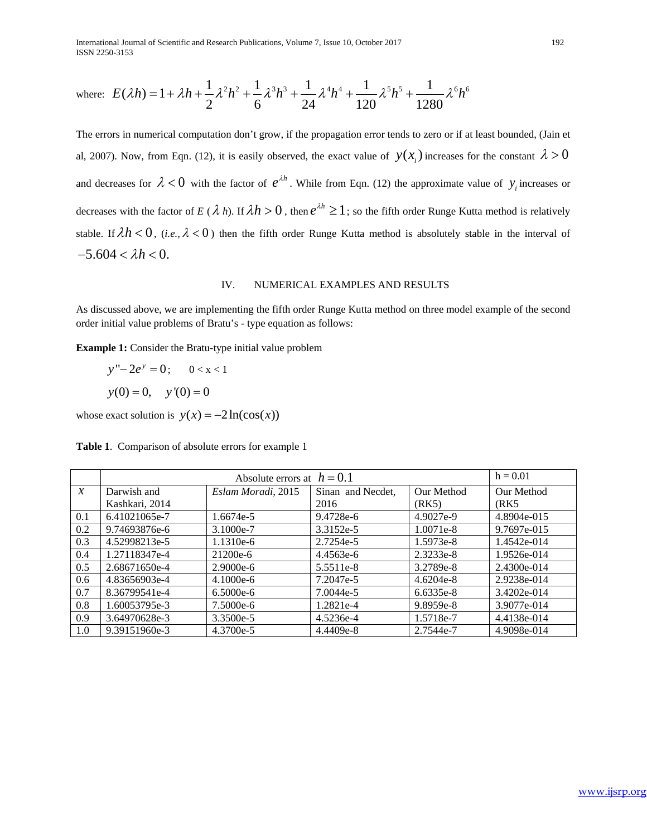International Journal of Scientific and Research Publications, Volume 7, Issue 10, October 2017 192 ISSN 2250-3153

where: 
$$
E(\lambda h) = 1 + \lambda h + \frac{1}{2} \lambda^2 h^2 + \frac{1}{6} \lambda^3 h^3 + \frac{1}{24} \lambda^4 h^4 + \frac{1}{120} \lambda^5 h^5 + \frac{1}{1280} \lambda^6 h^6
$$

The errors in numerical computation don't grow, if the propagation error tends to zero or if at least bounded, (Jain et al, 2007). Now, from Eqn. (12), it is easily observed, the exact value of  $y(x_i)$  increases for the constant  $\lambda > 0$ and decreases for  $\lambda < 0$  with the factor of  $e^{\lambda h}$ . While from Eqn. (12) the approximate value of  $y_i$  increases or decreases with the factor of *E* ( $\lambda$  *h*). If  $\lambda h > 0$ , then  $e^{\lambda h} \ge 1$ ; so the fifth order Runge Kutta method is relatively stable. If  $\lambda h < 0$ , (*i.e.*,  $\lambda < 0$ ) then the fifth order Runge Kutta method is absolutely stable in the interval of  $-5.604 < \lambda h < 0.$ 

## IV. NUMERICAL EXAMPLES AND RESULTS

As discussed above, we are implementing the fifth order Runge Kutta method on three model example of the second order initial value problems of Bratu's - type equation as follows:

**Example 1:** Consider the Bratu-type initial value problem

 $y'' - 2e^y = 0;$  0 < x < 1  $y(0) = 0$ ,  $y'(0) = 0$ 

whose exact solution is  $y(x) = -2\ln(\cos(x))$ 

|  | <b>Table 1.</b> Comparison of absolute errors for example 1 |  |  |  |
|--|-------------------------------------------------------------|--|--|--|
|--|-------------------------------------------------------------|--|--|--|

|               |                | $h = 0.01$         |                   |             |               |
|---------------|----------------|--------------------|-------------------|-------------|---------------|
| $\mathcal{X}$ | Darwish and    | Eslam Moradi, 2015 | Sinan and Necdet, | Our Method  | Our Method    |
|               | Kashkari, 2014 |                    | 2016              | (RK5)       | (RK5          |
| 0.1           | 6.41021065e-7  | 1.6674e-5          | 9.4728e-6         | 4.9027e-9   | 4.8904e-015   |
| 0.2           | 9.74693876e-6  | 3.1000e-7          | 3.3152e-5         | $1.0071e-8$ | 9.7697e-015   |
| 0.3           | 4.52998213e-5  | 1.1310e-6          | 2.7254e-5         | 1.5973e-8   | 1.4542e-014   |
| 0.4           | 1.27118347e-4  | 21200e-6           | 4.4563e-6         | 2.3233e-8   | 1.9526e-014   |
| 0.5           | 2.68671650e-4  | $2.9000e-6$        | 5.5511e-8         | 3.2789e-8   | $2.4300e-014$ |
| 0.6           | 4.83656903e-4  | $4.1000e-6$        | 7.2047e-5         | $4.6204e-8$ | 2.9238e-014   |
| 0.7           | 8.36799541e-4  | $6.5000e-6$        | 7.0044e-5         | 6.6335e-8   | 3.4202e-014   |
| 0.8           | 1.60053795e-3  | 7.5000e-6          | 1.2821e-4         | 9.8959e-8   | 3.9077e-014   |
| 0.9           | 3.64970628e-3  | 3.3500e-5          | 4.5236e-4         | 1.5718e-7   | 4.4138e-014   |
| 1.0           | 9.39151960e-3  | $4.3700e-5$        | 4.4409e-8         | 2.7544e-7   | 4.9098e-014   |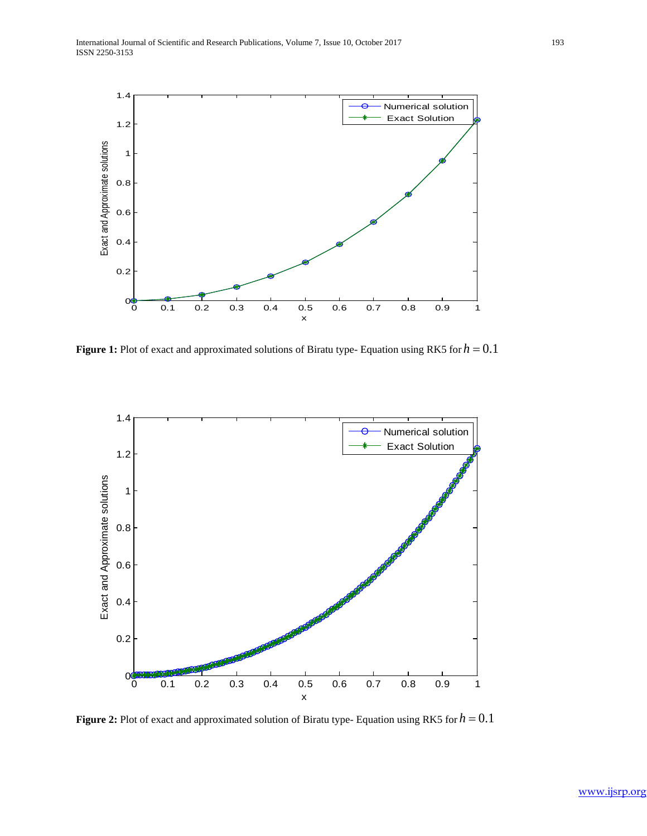

**Figure 1:** Plot of exact and approximated solutions of Biratu type-Equation using RK5 for  $h = 0.1$ 



**Figure 2:** Plot of exact and approximated solution of Biratu type- Equation using RK5 for *h* = 0.1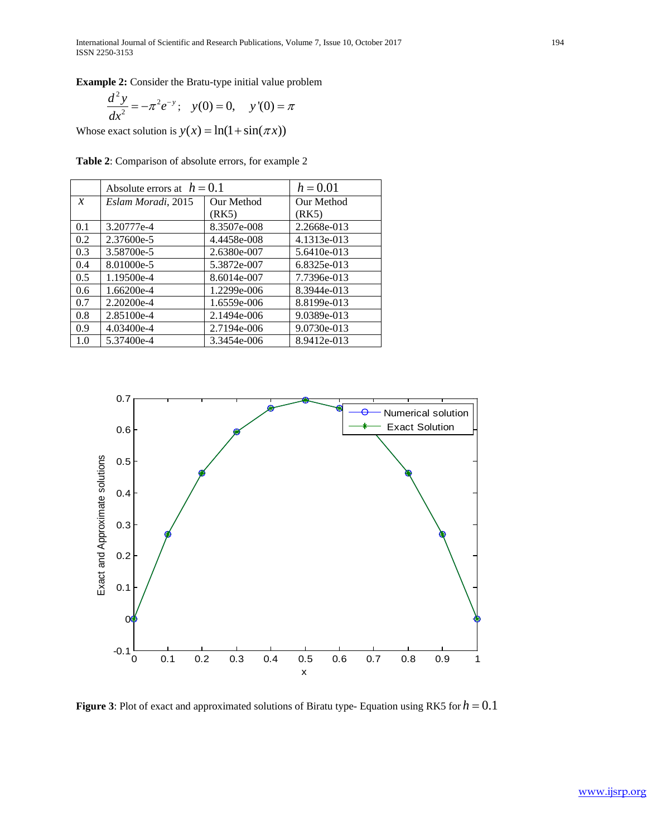**Example 2:** Consider the Bratu-type initial value problem

$$
\frac{d^2y}{dx^2} = -\pi^2 e^{-y}; \quad y(0) = 0, \quad y'(0) = \pi
$$

Whose exact solution is  $y(x) = \ln(1 + \sin(\pi x))$ 

**Table 2**: Comparison of absolute errors, for example 2

|               | Absolute errors at $h = 0.1$ |             | $h = 0.01$  |
|---------------|------------------------------|-------------|-------------|
| $\mathcal{X}$ | Eslam Moradi, 2015           | Our Method  | Our Method  |
|               |                              | (RK5)       | (RK5)       |
| 0.1           | 3.20777e-4                   | 8.3507e-008 | 2.2668e-013 |
| 0.2           | 2.37600e-5                   | 4.4458e-008 | 4.1313e-013 |
| 0.3           | 3.58700e-5                   | 2.6380e-007 | 5.6410e-013 |
| 0.4           | 8.01000e-5                   | 5.3872e-007 | 6.8325e-013 |
| 0.5           | 1.19500e-4                   | 8.6014e-007 | 7.7396e-013 |
| 0.6           | 1.66200e-4                   | 1.2299e-006 | 8.3944e-013 |
| 0.7           | $2.20200e-4$                 | 1.6559e-006 | 8.8199e-013 |
| 0.8           | 2.85100e-4                   | 2.1494e-006 | 9.0389e-013 |
| 0.9           | 4.03400e-4                   | 2.7194e-006 | 9.0730e-013 |
| 1.0           | 5.37400e-4                   | 3.3454e-006 | 8.9412e-013 |



**Figure 3**: Plot of exact and approximated solutions of Biratu type- Equation using RK5 for  $h = 0.1$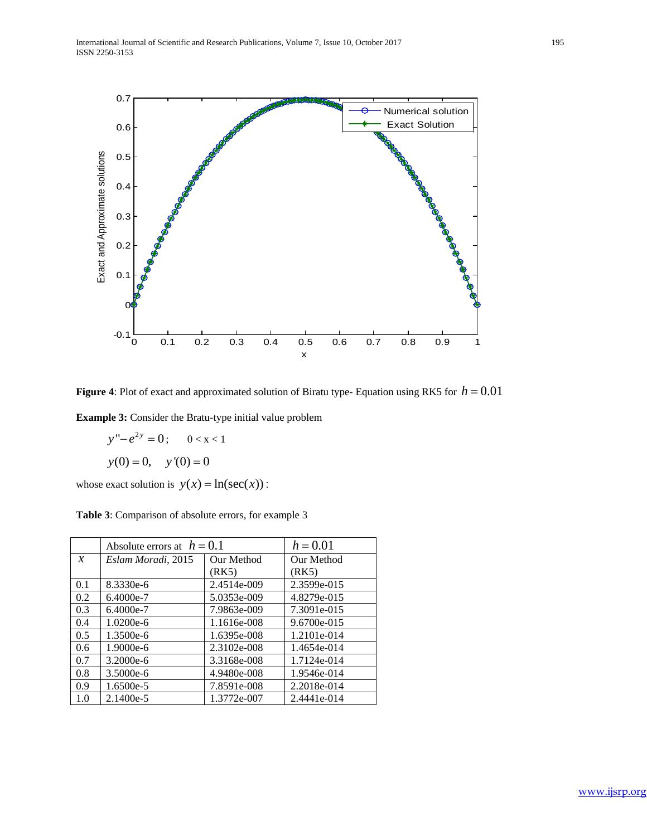

**Figure 4**: Plot of exact and approximated solution of Biratu type- Equation using RK5 for  $h = 0.01$ 

**Example 3:** Consider the Bratu-type initial value problem

 $y'' - e^{2y} = 0;$  0 < x < 1  $y(0) = 0$ ,  $y'(0) = 0$ 

whose exact solution is  $y(x) = \ln(\sec(x))$ :

|               | Absolute errors at $h = 0.1$ |             | $h = 0.01$  |
|---------------|------------------------------|-------------|-------------|
| $\mathcal{X}$ | Eslam Moradi, 2015           | Our Method  | Our Method  |
|               |                              | (RK5)       | (RK5)       |
| 0.1           | 8.3330e-6                    | 2.4514e-009 | 2.3599e-015 |
| 0.2           | $6.4000e-7$                  | 5.0353e-009 | 4.8279e-015 |
| 0.3           | 6.4000e-7                    | 7.9863e-009 | 7.3091e-015 |
| 0.4           | $1.0200e-6$                  | 1.1616e-008 | 9.6700e-015 |
| 0.5           | $1.3500e-6$                  | 1.6395e-008 | 1.2101e-014 |
| 0.6           | 1.9000e-6                    | 2.3102e-008 | 1.4654e-014 |
| 0.7           | $3.2000e-6$                  | 3.3168e-008 | 1.7124e-014 |
| 0.8           | $3.5000e-6$                  | 4.9480e-008 | 1.9546e-014 |
| 0.9           | 1.6500e-5                    | 7.8591e-008 | 2.2018e-014 |
| 1.0           | $2.1400e-5$                  | 1.3772e-007 | 2.4441e-014 |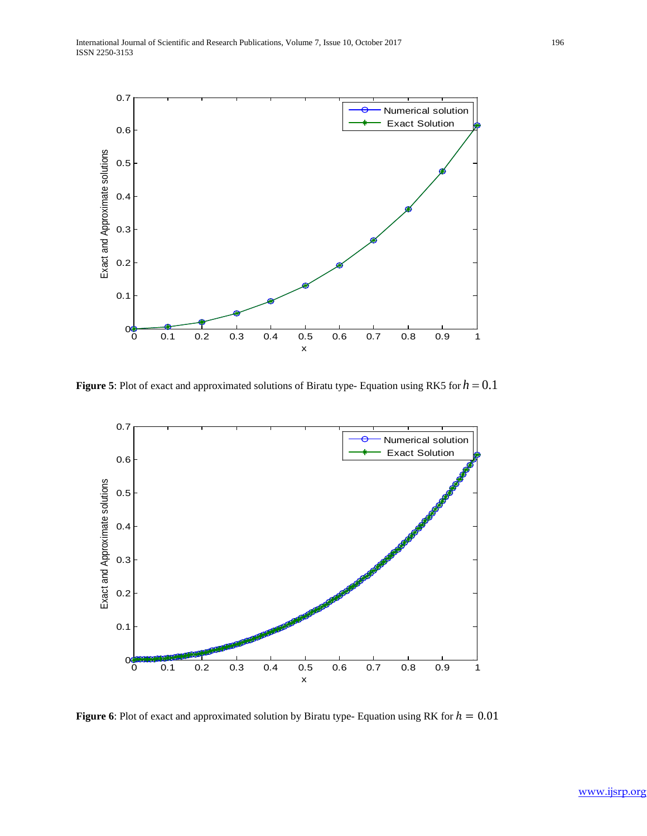

**Figure 5**: Plot of exact and approximated solutions of Biratu type-Equation using RK5 for  $h = 0.1$ 



**Figure 6**: Plot of exact and approximated solution by Biratu type- Equation using RK for  $h = 0.01$